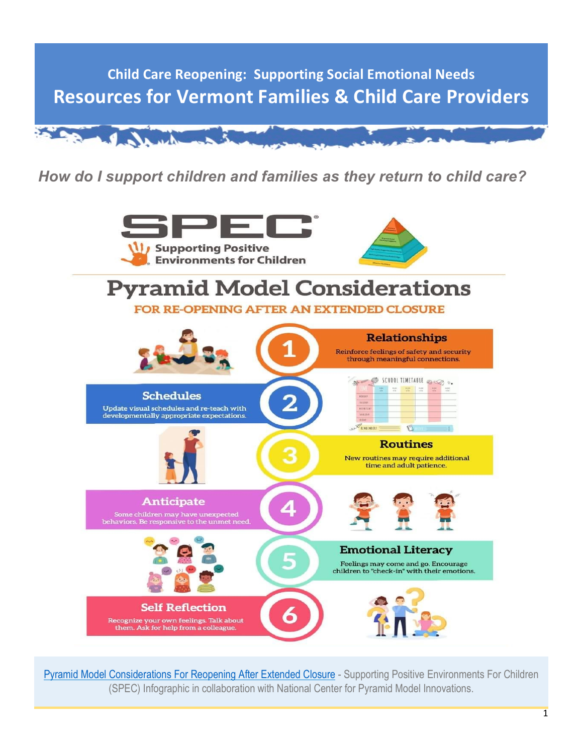

*How do I support children and families as they return to child care?*



[Pyramid Model Considerations For Reopening After Extended Closure](https://www.spec-pa.com/covid) - Supporting Positive Environments For Children (SPEC) Infographic in collaboration with National Center for Pyramid Model Innovations.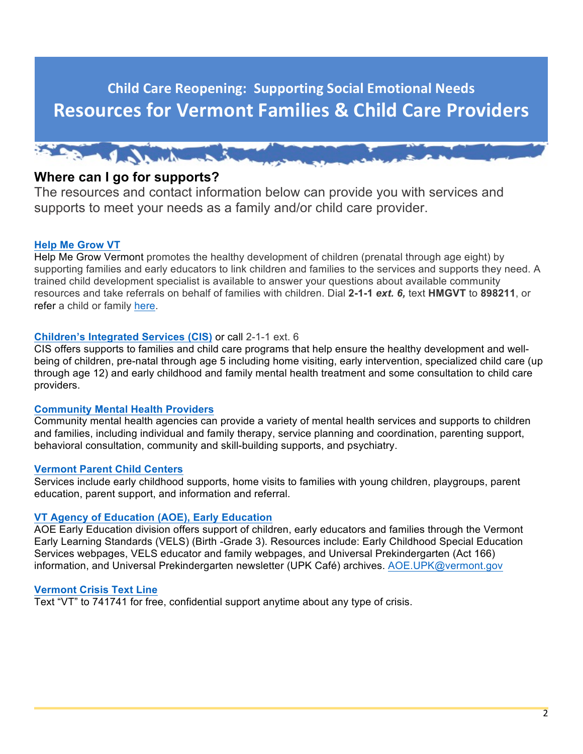

# **Where can I go for supports?**

The resources and contact information below can provide you with services and supports to meet your needs as a family and/or child care provider.

### **[Help Me Grow VT](https://helpmegrowvt.org/)**

Help Me Grow Vermont promotes the healthy development of children (prenatal through age eight) by supporting families and early educators to link children and families to the services and supports they need. A trained child development specialist is available to answer your questions about available community resources and take referrals on behalf of families with children. Dial **2-1-1** *ext. 6,* text **HMGVT** to **898211**, or refer a child or family [here](https://helpmegrowvt.org/form/referral-form).

### **[Children's Integrated Services \(CIS\)](https://dcf.vermont.gov/partners/cis)** or call 2-1-1 ext. 6

CIS offers supports to families and child care programs that help ensure the healthy development and wellbeing of children, pre-natal through age 5 including home visiting, early intervention, specialized child care (up through age 12) and early childhood and family mental health treatment and some consultation to child care providers.

### **[Community Mental Health Providers](https://mentalhealth.vermont.gov/individuals-and-families/designated-and-specialized-service-agencies)**

Community mental health agencies can provide a variety of mental health services and supports to children and families, including individual and family therapy, service planning and coordination, parenting support, behavioral consultation, community and skill-building supports, and psychiatry.

### **[Vermont Parent Child Centers](https://dcf.vermont.gov/partners/pcc)**

Services include early childhood supports, home visits to families with young children, playgroups, parent education, parent support, and information and referral.

### **[VT Agency of Education \(AOE\), Early Education](https://vels.education.vermont.gov/resources-educators-and-families)**

AOE Early Education division offers support of children, early educators and families through the Vermont Early Learning Standards (VELS) (Birth -Grade 3). Resources include: Early Childhood Special Education Services webpages, VELS educator and family webpages, and Universal Prekindergarten (Act 166) information, and Universal Prekindergarten newsletter (UPK Café) archives. [AOE.UPK@vermont.gov](mailto:AOE.UPK@vermont.gov)

### **[Vermont Crisis Text Line](https://vtspc.org/crisis-text-line/)**

Text "VT" to 741741 for free, confidential support anytime about any type of crisis.